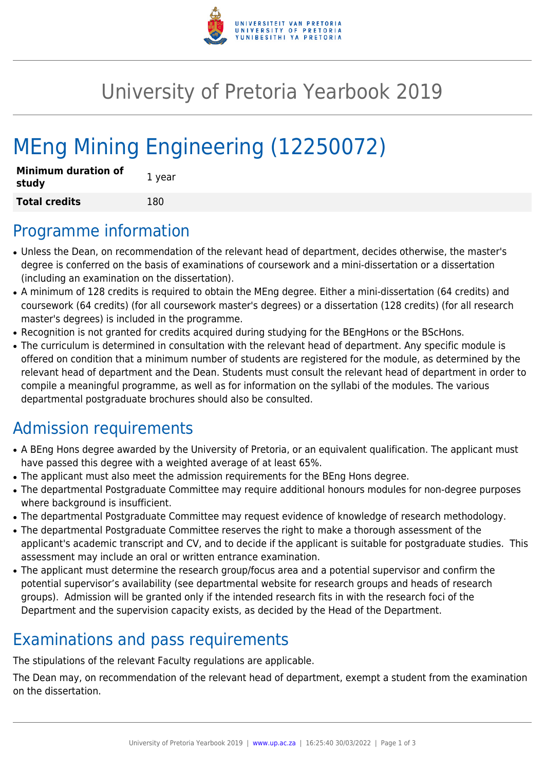

## University of Pretoria Yearbook 2019

# MEng Mining Engineering (12250072)

| <b>Minimum duration of</b><br>study | 1 year |
|-------------------------------------|--------|
| <b>Total credits</b>                | 180    |

#### Programme information

- Unless the Dean, on recommendation of the relevant head of department, decides otherwise, the master's degree is conferred on the basis of examinations of coursework and a mini-dissertation or a dissertation (including an examination on the dissertation).
- A minimum of 128 credits is required to obtain the MEng degree. Either a mini-dissertation (64 credits) and coursework (64 credits) (for all coursework master's degrees) or a dissertation (128 credits) (for all research master's degrees) is included in the programme.
- Recognition is not granted for credits acquired during studying for the BEngHons or the BScHons.
- The curriculum is determined in consultation with the relevant head of department. Any specific module is offered on condition that a minimum number of students are registered for the module, as determined by the relevant head of department and the Dean. Students must consult the relevant head of department in order to compile a meaningful programme, as well as for information on the syllabi of the modules. The various departmental postgraduate brochures should also be consulted.

## Admission requirements

- A BEng Hons degree awarded by the University of Pretoria, or an equivalent qualification. The applicant must have passed this degree with a weighted average of at least 65%.
- The applicant must also meet the admission requirements for the BEng Hons degree.
- The departmental Postgraduate Committee may require additional honours modules for non-degree purposes where background is insufficient.
- The departmental Postgraduate Committee may request evidence of knowledge of research methodology.
- The departmental Postgraduate Committee reserves the right to make a thorough assessment of the applicant's academic transcript and CV, and to decide if the applicant is suitable for postgraduate studies. This assessment may include an oral or written entrance examination.
- The applicant must determine the research group/focus area and a potential supervisor and confirm the potential supervisor's availability (see departmental website for research groups and heads of research groups). Admission will be granted only if the intended research fits in with the research foci of the Department and the supervision capacity exists, as decided by the Head of the Department.

## Examinations and pass requirements

The stipulations of the relevant Faculty regulations are applicable.

The Dean may, on recommendation of the relevant head of department, exempt a student from the examination on the dissertation.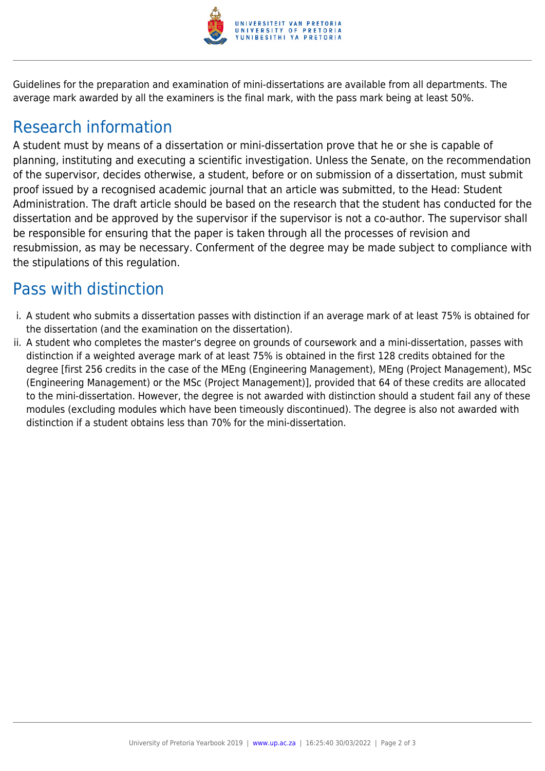

Guidelines for the preparation and examination of mini-dissertations are available from all departments. The average mark awarded by all the examiners is the final mark, with the pass mark being at least 50%.

#### Research information

A student must by means of a dissertation or mini-dissertation prove that he or she is capable of planning, instituting and executing a scientific investigation. Unless the Senate, on the recommendation of the supervisor, decides otherwise, a student, before or on submission of a dissertation, must submit proof issued by a recognised academic journal that an article was submitted, to the Head: Student Administration. The draft article should be based on the research that the student has conducted for the dissertation and be approved by the supervisor if the supervisor is not a co-author. The supervisor shall be responsible for ensuring that the paper is taken through all the processes of revision and resubmission, as may be necessary. Conferment of the degree may be made subject to compliance with the stipulations of this regulation.

#### Pass with distinction

- i. A student who submits a dissertation passes with distinction if an average mark of at least 75% is obtained for the dissertation (and the examination on the dissertation).
- ii. A student who completes the master's degree on grounds of coursework and a mini-dissertation, passes with distinction if a weighted average mark of at least 75% is obtained in the first 128 credits obtained for the degree [first 256 credits in the case of the MEng (Engineering Management), MEng (Project Management), MSc (Engineering Management) or the MSc (Project Management)], provided that 64 of these credits are allocated to the mini-dissertation. However, the degree is not awarded with distinction should a student fail any of these modules (excluding modules which have been timeously discontinued). The degree is also not awarded with distinction if a student obtains less than 70% for the mini-dissertation.